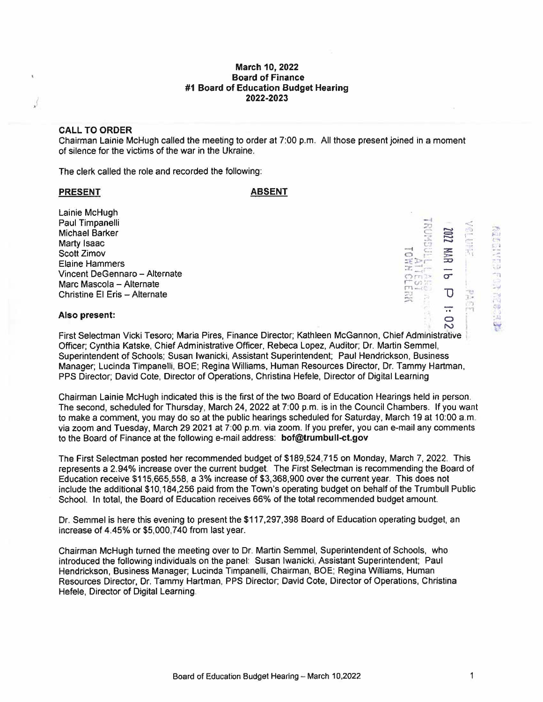## **March 10, 2022 Board of Finance #1 Board of Education Budget Hearing 2022-2023**

# **CALL TO ORDER**

Chairman Lainie McHugh called the meeting to order at 7:00 p.m. All those present joined in a moment of silence for the victims of the war in the Ukraine.

The clerk called the role and recorded the following:

### PRESENT ABSENT

Lainie McHugh<br>Paul Timpanelli<br>Michael Barker<br>Marty Isaac<br>Scott Zimov Paul Timpanelli Michael Barker Marty Isaac Scott Zimov Elaine Hammers Vincent DeGennaro - Alternate Marc Mascola - Alternate Christine El Eris - Alternate



- 1<br>1 SI<br>1 13

### **Also present:**

First Selectman Vicki Tesoro; Maria Pires, Finance Director; Kathleen McGannon, Chief Administrative ' Officer; Cynthia Katske, Chief Administrative Officer, Rebeca Lopez, Auditor; Dr. Martin Semmel, Superintendent of Schools; Susan Iwanicki, Assistant Superintendent; Paul Hendrickson, Business Manager; Lucinda Timpanelli, BOE; Regina Williams, Human Resources Director, Dr. Tammy Hartman, PPS Director; David Cote, Director of Operations, Christina Hefele, Director of Digital Learning

Chairman Lainie McHugh indicated this is the first of the two Board of Education Hearings held in person. The second, scheduled for Thursday, March 24, 2022 at 7:00 p.m. is in the Council Chambers. If you want to make a comment, you may do so at the public hearings scheduled for Saturday, March 19 at 10:00 a.m. via zoom and Tuesday, March 29 2021 at 7:00 p.m. via zoom. If you prefer, you can e-mail any comments to the Board of Finance at the following e-mail address: **bof@trumbull-ct.gov** 

The First Selectman posted her recommended budget of \$189,524,715 on Monday, March 7, 2022. This represents a 2.94% increase over the current budget. The First Selectman is recommending the Board of Education receive \$115,665,558, a 3% increase of \$3,368,900 over the current year. This does not include the additional \$10,184,256 paid from the Town's operating budget on behalf of the Trumbull Public School. In total, the Board of Education receives 66% of the total recommended budget amount.

Dr. Semmel is here this evening to present the \$117,297,398 Board of Education operating budget, an increase of 4.45% or \$5,000,740 from last year.

Chairman McHugh turned the meeting over to Dr. Martin Semmel, Superintendent of Schools, who introduced the following individuals on the panel: Susan Iwanicki, Assistant Superintendent; Paul Hendrickson, Business Manager; Lucinda Timpanelli, Chairman, BOE; Regina Williams, Human Resources Director, Dr. Tammy Hartman, PPS Director; David Cote, Director of Operations, Christina Hefele, Director of Digital Learning.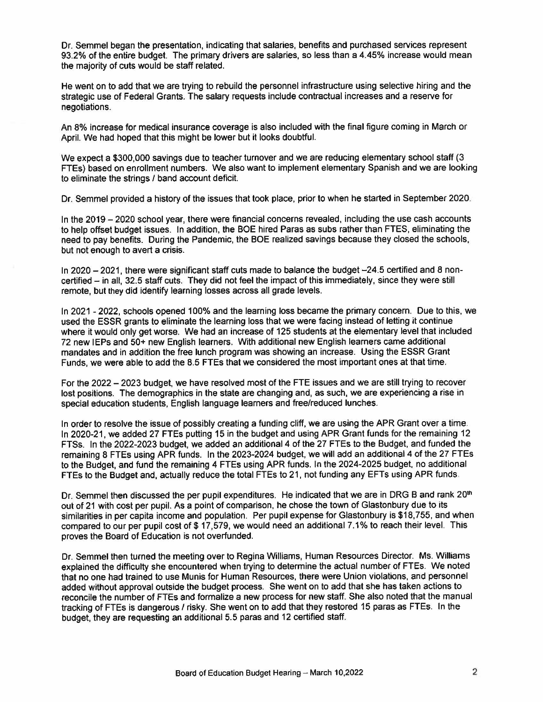Dr. Semmel began the presentation, indicating that salaries, benefits and purchased services represent 93.2% of the entire budget. The primary drivers are salaries, so less than a 4.45% increase would mean the majority of cuts would be staff related.

He went on to add that we are trying to rebuild the personnel infrastructure using selective hiring and the strategic use of Federal Grants. The salary requests include contractual increases and a reserve for negotiations.

An 8% increase for medical insurance coverage is also included with the final figure coming in March or April. We had hoped that this might be lower but it looks doubtful.

We expect a \$300,000 savings due to teacher turnover and we are reducing elementary school staff (3 FTEs} based on enrollment numbers. We also want to implement elementary Spanish and we are looking to eliminate the strings / band account deficit.

Dr. Semmel provided a history of the issues that took place, prior to when he started in September 2020.

In the 2019 - 2020 school year, there were financial concerns revealed, including the use cash accounts to help offset budget issues. In addition, the BOE hired Paras as subs rather than FTES, eliminating the need to pay benefits. During the Pandemic, the BOE realized savings because they closed the schools, but not enough to avert a crisis.

In 2020  $-$  2021, there were significant staff cuts made to balance the budget  $-24.5$  certified and 8 noncertified - in all, 32.5 staff cuts. They did not feel the impact of this immediately, since they were still remote, but they did identify learning losses across all grade levels.

In 2021 - 2022, schools opened 100% and the learning loss became the primary concern. Due to this, we used the ESSR grants to eliminate the learning loss that we were facing instead of letting it continue where it would only get worse. We had an increase of 125 students at the elementary level that included 72 new IEPs and 50+ new English learners. With additional new English learners came additional mandates and in addition the free lunch program was showing an increase. Using the ESSR Grant Funds, we were able to add the 8.5 FTEs that we considered the most important ones at that time.

For the 2022 - 2023 budget, we have resolved most of the FTE issues and we are still trying to recover lost positions. The demographics in the state are changing and, as such, we are experiencing a rise in speciat education students, English language learners and free/reduced lunches.

In order to resolve the issue of possibly creating a funding cliff, we are using the APR Grant over a time. In 2020-21, we added 27 FTEs putting 15 in the budget and using APR Grant funds for the remaining 12 FTSs. In the 2022-2023 budget, we added an additional 4 of the 27 FTEs to the Budget, and funded the remaining 8 FTEs using APR funds. In the 2023-2024 budget, we will add an additional 4 of the 27 FTEs to the Budget, and fund the remaining 4 FTEs using APR funds. In the 2024-2025 budget, no additional FTEs to the Budget and, actually reduce the total FTEs to 21, not funding any EFTs using APR funds.

Dr. Semmel then discussed the per pupil expenditures. He indicated that we are in DRG B and rank 20<sup>th</sup> out of 21 with cost per pupil. As a point of comparison, he chose the town of Glastonbury due to its similarities in per capita income and population. Per pupil expense for Glastonbury is \$18,755, and when compared to our per pupil cost of \$ 17,579, we would need an additional 7.1% to reach their level. This proves the Board of Education is not overfunded.

Dr. Semmel then turned the meeting over to Regina Williams, Human Resources Director. Ms. Williams explained the difficulty she encountered when trying to determine the actual number of FTEs. We noted that no one had trained to use Munis for Human Resources, there were Union violations, and personnel added without approval outside the budget process. She went on to add that she has taken actions to reconcile the number of FTEs and formalize a new process for new staff. She also noted that the manual tracking of FTEs is dangerous / risky. She went on to add that they restored 15 paras as FTEs. In the budget, they are requesting an additional 5.5 paras and 12 certified staff.